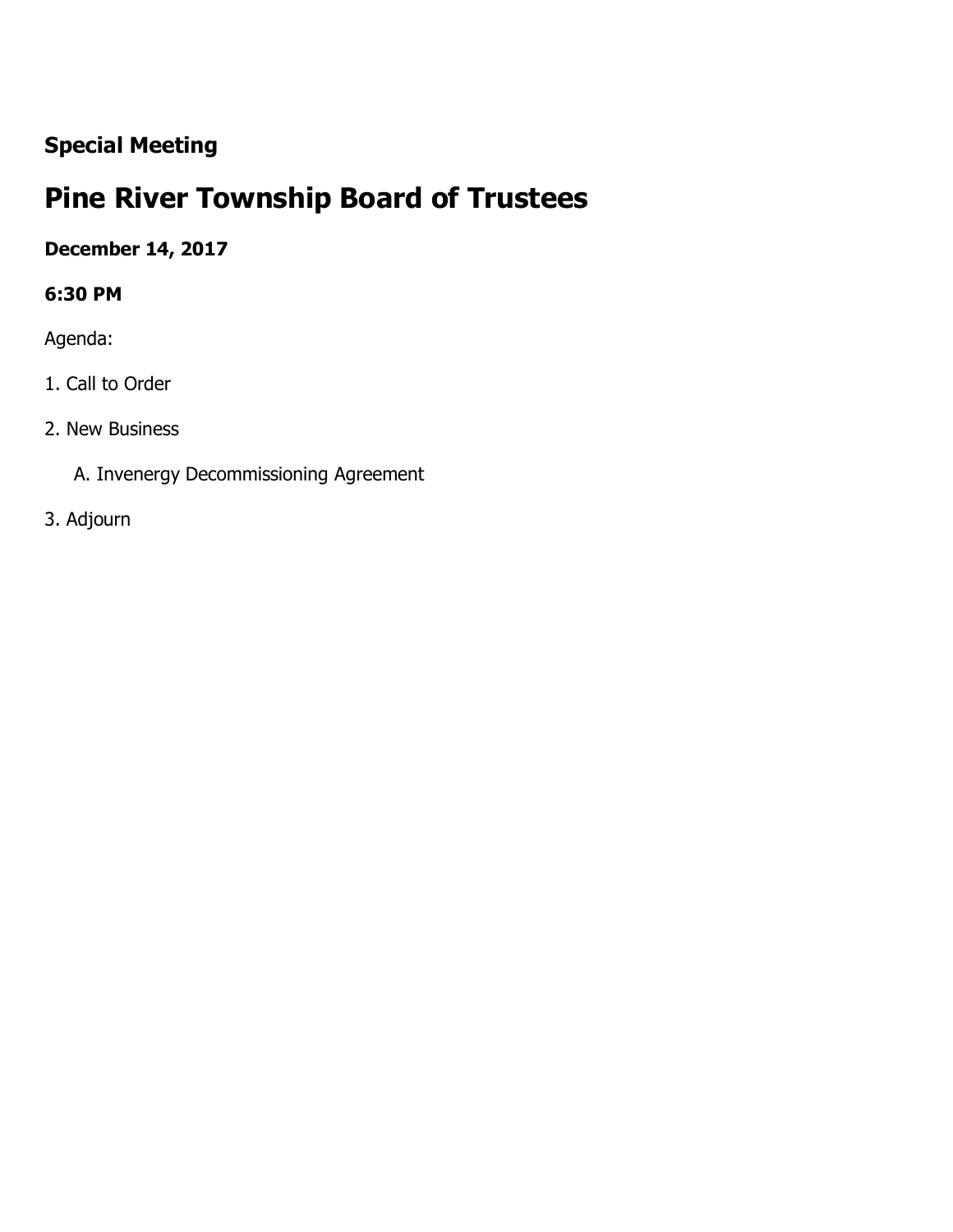## **Special Meeting**

# **Pine River Township Board of Trustees**

## **December 14, 2017**

#### **6:30 PM**

Agenda:

- 1. Call to Order
- 2. New Business
	- A. Invenergy Decommissioning Agreement
- 3. Adjourn